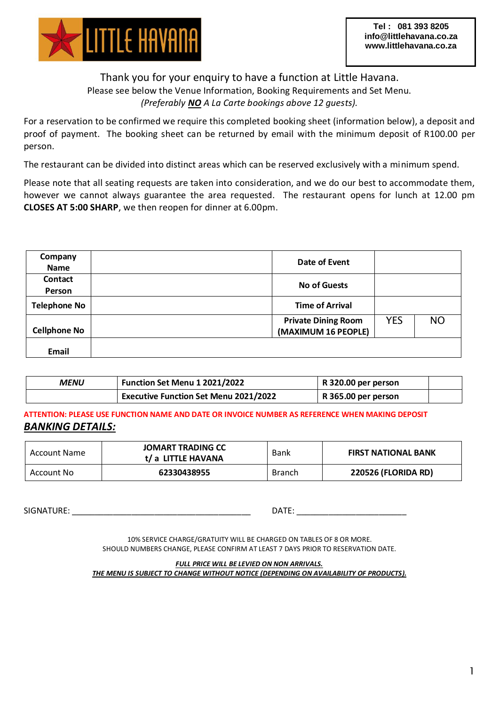

## Thank you for your enquiry to have a function at Little Havana. Please see below the Venue Information, Booking Requirements and Set Menu. *(Preferably NO A La Carte bookings above 12 guests).*

For a reservation to be confirmed we require this completed booking sheet (information below), a deposit and proof of payment. The booking sheet can be returned by email with the minimum deposit of R100.00 per person.

The restaurant can be divided into distinct areas which can be reserved exclusively with a minimum spend.

Please note that all seating requests are taken into consideration, and we do our best to accommodate them, however we cannot always guarantee the area requested. The restaurant opens for lunch at 12.00 pm **CLOSES AT 5:00 SHARP**, we then reopen for dinner at 6.00pm.

| Company             | Date of Event              |            |           |
|---------------------|----------------------------|------------|-----------|
| <b>Name</b>         |                            |            |           |
| Contact             |                            |            |           |
| Person              | <b>No of Guests</b>        |            |           |
| <b>Telephone No</b> | <b>Time of Arrival</b>     |            |           |
|                     | <b>Private Dining Room</b> | <b>YES</b> | <b>NO</b> |
| <b>Cellphone No</b> | (MAXIMUM 16 PEOPLE)        |            |           |
|                     |                            |            |           |
| Email               |                            |            |           |

| MENU | Function Set Menu 1 2021/2022                | R 320.00 per person |  |
|------|----------------------------------------------|---------------------|--|
|      | <b>Executive Function Set Menu 2021/2022</b> | R 365.00 per person |  |

**ATTENTION: PLEASE USE FUNCTION NAME AND DATE OR INVOICE NUMBER AS REFERENCE WHEN MAKING DEPOSIT** *BANKING DETAILS:*

| <b>Account Name</b> | JOMART TRADING CC<br>t/ a LITTLE HAVANA | Bank          | <b>FIRST NATIONAL BANK</b> |  |
|---------------------|-----------------------------------------|---------------|----------------------------|--|
| Account No          | 62330438955                             | <b>Branch</b> | <b>220526 (FLORIDA RD)</b> |  |

 ${\sf SIGNATURE:} \begin{equation} \end{equation}$ 

10% SERVICE CHARGE/GRATUITY WILL BE CHARGED ON TABLES OF 8 OR MORE. SHOULD NUMBERS CHANGE, PLEASE CONFIRM AT LEAST 7 DAYS PRIOR TO RESERVATION DATE.

*FULL PRICE WILL BE LEVIED ON NON ARRIVALS. THE MENU IS SUBJECT TO CHANGE WITHOUT NOTICE (DEPENDING ON AVAILABILITY OF PRODUCTS).*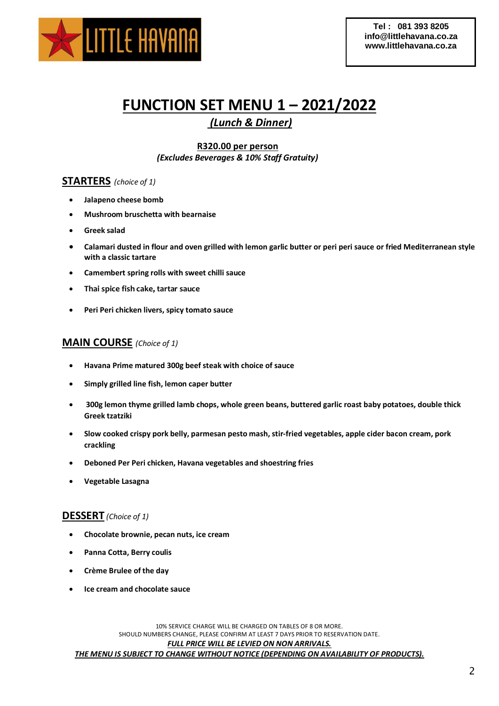

# **FUNCTION SET MENU 1 – 2021/2022**

*(Lunch & Dinner)*

**R320.00 per person** *(Excludes Beverages & 10% Staff Gratuity)*

## **STARTERS** *(choice of 1)*

- **Jalapeno cheese bomb**
- **Mushroom bruschetta with bearnaise**
- **Greek salad**
- **Calamari dusted in flour and oven grilled with lemon garlic butter or peri peri sauce or fried Mediterranean style with a classic tartare**
- **Camembert spring rolls with sweet chilli sauce**
- **Thai spice fish cake, tartar sauce**
- **Peri Peri chicken livers, spicy tomato sauce**

## **MAIN COURSE** *(Choice of 1)*

- **Havana Prime matured 300g beef steak with choice of sauce**
- **Simply grilled line fish, lemon caper butter**
- **300g lemon thyme grilled lamb chops, whole green beans, buttered garlic roast baby potatoes, double thick Greek tzatziki**
- **Slow cooked crispy pork belly, parmesan pesto mash, stir-fried vegetables, apple cider bacon cream, pork crackling**
- **Deboned Per Peri chicken, Havana vegetables and shoestring fries**
- **Vegetable Lasagna**

### **DESSERT** *(Choice of 1)*

- **Chocolate brownie, pecan nuts, ice cream**
- **Panna Cotta, Berry coulis**
- **Crème Brulee of the day**
- **Ice cream and chocolate sauce**

10% SERVICE CHARGE WILL BE CHARGED ON TABLES OF 8 OR MORE. SHOULD NUMBERS CHANGE, PLEASE CONFIRM AT LEAST 7 DAYS PRIOR TO RESERVATION DATE.

### *FULL PRICE WILL BE LEVIED ON NON ARRIVALS.*

*THE MENU IS SUBJECT TO CHANGE WITHOUT NOTICE (DEPENDING ON AVAILABILITY OF PRODUCTS).*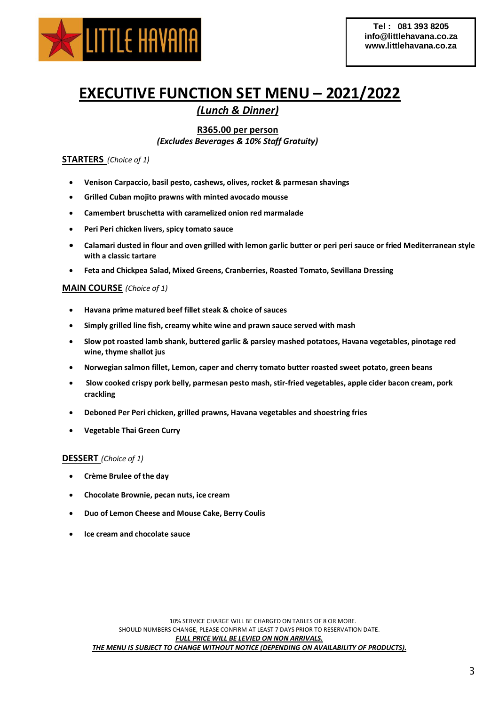

# **EXECUTIVE FUNCTION SET MENU – 2021/2022**

# *(Lunch & Dinner)*

### **R365.00 per person**

*(Excludes Beverages & 10% Staff Gratuity)*

### **STARTERS** *(Choice of 1)*

- **Venison Carpaccio, basil pesto, cashews, olives, rocket & parmesan shavings**
- **Grilled Cuban mojito prawns with minted avocado mousse**
- **Camembert bruschetta with caramelized onion red marmalade**
- **Peri Peri chicken livers, spicy tomato sauce**
- **Calamari dusted in flour and oven grilled with lemon garlic butter or peri peri sauce or fried Mediterranean style with a classic tartare**
- **Feta and Chickpea Salad, Mixed Greens, Cranberries, Roasted Tomato, Sevillana Dressing**

#### **MAIN COURSE** *(Choice of 1)*

- **Havana prime matured beef fillet steak & choice of sauces**
- **Simply grilled line fish, creamy white wine and prawn sauce served with mash**
- **Slow pot roasted lamb shank, buttered garlic & parsley mashed potatoes, Havana vegetables, pinotage red wine, thyme shallot jus**
- **Norwegian salmon fillet, Lemon, caper and cherry tomato butter roasted sweet potato, green beans**
- **Slow cooked crispy pork belly, parmesan pesto mash, stir-fried vegetables, apple cider bacon cream, pork crackling**
- **Deboned Per Peri chicken, grilled prawns, Havana vegetables and shoestring fries**
- **Vegetable Thai Green Curry**

#### **DESSERT** *(Choice of 1)*

- **Crème Brulee of the day**
- **Chocolate Brownie, pecan nuts, ice cream**
- **Duo of Lemon Cheese and Mouse Cake, Berry Coulis**
- **Ice cream and chocolate sauce**